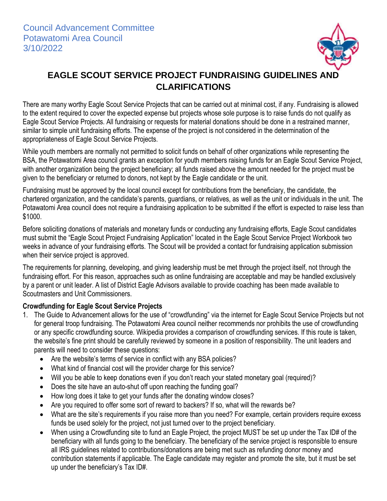

## **EAGLE SCOUT SERVICE PROJECT FUNDRAISING GUIDELINES AND CLARIFICATIONS**

There are many worthy Eagle Scout Service Projects that can be carried out at minimal cost, if any. Fundraising is allowed to the extent required to cover the expected expense but projects whose sole purpose is to raise funds do not qualify as Eagle Scout Service Projects. All fundraising or requests for material donations should be done in a restrained manner, similar to simple unit fundraising efforts. The expense of the project is not considered in the determination of the appropriateness of Eagle Scout Service Projects.

While youth members are normally not permitted to solicit funds on behalf of other organizations while representing the BSA, the Potawatomi Area council grants an exception for youth members raising funds for an Eagle Scout Service Project, with another organization being the project beneficiary; all funds raised above the amount needed for the project must be given to the beneficiary or returned to donors, not kept by the Eagle candidate or the unit.

Fundraising must be approved by the local council except for contributions from the beneficiary, the candidate, the chartered organization, and the candidate's parents, guardians, or relatives, as well as the unit or individuals in the unit. The Potawatomi Area council does not require a fundraising application to be submitted if the effort is expected to raise less than \$1000.

Before soliciting donations of materials and monetary funds or conducting any fundraising efforts, Eagle Scout candidates must submit the "Eagle Scout Project Fundraising Application" located in the Eagle Scout Service Project Workbook two weeks in advance of your fundraising efforts. The Scout will be provided a contact for fundraising application submission when their service project is approved.

The requirements for planning, developing, and giving leadership must be met through the project itself, not through the fundraising effort. For this reason, approaches such as online fundraising are acceptable and may be handled exclusively by a parent or unit leader. A list of District Eagle Advisors available to provide coaching has been made available to Scoutmasters and Unit Commissioners.

## **Crowdfunding for Eagle Scout Service Projects**

- 1. The Guide to Advancement allows for the use of "crowdfunding" via the internet for Eagle Scout Service Projects but not for general troop fundraising. The Potawatomi Area council neither recommends nor prohibits the use of crowdfunding or any specific crowdfunding source. Wikipedia provides a comparison of crowdfunding services. If this route is taken, the website's fine print should be carefully reviewed by someone in a position of responsibility. The unit leaders and parents will need to consider these questions:
	- Are the website's terms of service in conflict with any BSA policies?
	- What kind of financial cost will the provider charge for this service?
	- Will you be able to keep donations even if you don't reach your stated monetary goal (required)?
	- Does the site have an auto-shut off upon reaching the funding goal?
	- How long does it take to get your funds after the donating window closes?
	- Are you required to offer some sort of reward to backers? If so, what will the rewards be?
	- What are the site's requirements if you raise more than you need? For example, certain providers require excess funds be used solely for the project, not just turned over to the project beneficiary.
	- When using a Crowdfunding site to fund an Eagle Project, the project MUST be set up under the Tax ID# of the beneficiary with all funds going to the beneficiary. The beneficiary of the service project is responsible to ensure all IRS guidelines related to contributions/donations are being met such as refunding donor money and contribution statements if applicable. The Eagle candidate may register and promote the site, but it must be set up under the beneficiary's Tax ID#.